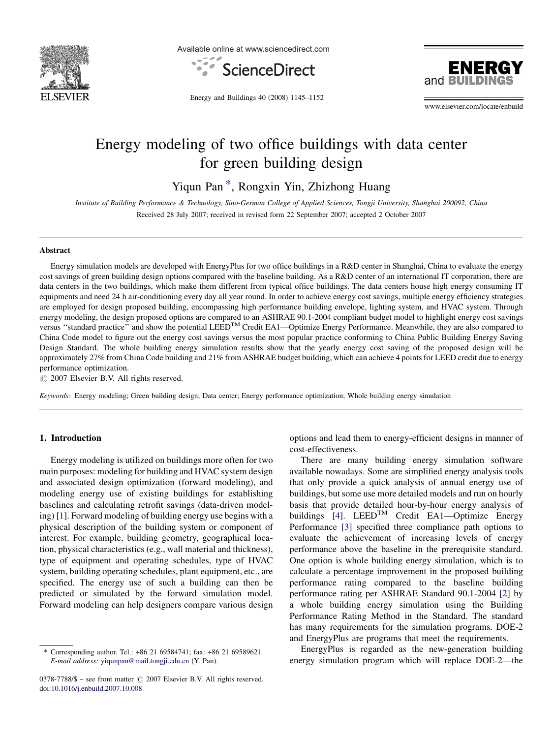

Available online at www.sciencedirect.com





Energy and Buildings 40 (2008) 1145–1152

www.elsevier.com/locate/enbuild

# Energy modeling of two office buildings with data center for green building design

Yiqun Pan \*, Rongxin Yin, Zhizhong Huang

Institute of Building Performance & Technology, Sino-German College of Applied Sciences, Tongji University, Shanghai 200092, China Received 28 July 2007; received in revised form 22 September 2007; accepted 2 October 2007

#### Abstract

Energy simulation models are developed with EnergyPlus for two office buildings in a R&D center in Shanghai, China to evaluate the energy cost savings of green building design options compared with the baseline building. As a R&D center of an international IT corporation, there are data centers in the two buildings, which make them different from typical office buildings. The data centers house high energy consuming IT equipments and need 24 h air-conditioning every day all year round. In order to achieve energy cost savings, multiple energy efficiency strategies are employed for design proposed building, encompassing high performance building envelope, lighting system, and HVAC system. Through energy modeling, the design proposed options are compared to an ASHRAE 90.1-2004 compliant budget model to highlight energy cost savings versus "standard practice" and show the potential LEED<sup>TM</sup> Credit EA1—Optimize Energy Performance. Meanwhile, they are also compared to China Code model to figure out the energy cost savings versus the most popular practice conforming to China Public Building Energy Saving Design Standard. The whole building energy simulation results show that the yearly energy cost saving of the proposed design will be approximately 27% from China Code building and 21% from ASHRAE budget building, which can achieve 4 points for LEED credit due to energy performance optimization.

 $\circ$  2007 Elsevier B.V. All rights reserved.

Keywords: Energy modeling; Green building design; Data center; Energy performance optimization; Whole building energy simulation

## 1. Introduction

Energy modeling is utilized on buildings more often for two main purposes: modeling for building and HVAC system design and associated design optimization (forward modeling), and modeling energy use of existing buildings for establishing baselines and calculating retrofit savings (data-driven modeling) [\[1\]](#page--1-0). Forward modeling of building energy use begins with a physical description of the building system or component of interest. For example, building geometry, geographical location, physical characteristics (e.g., wall material and thickness), type of equipment and operating schedules, type of HVAC system, building operating schedules, plant equipment, etc., are specified. The energy use of such a building can then be predicted or simulated by the forward simulation model. Forward modeling can help designers compare various design

options and lead them to energy-efficient designs in manner of cost-effectiveness.

There are many building energy simulation software available nowadays. Some are simplified energy analysis tools that only provide a quick analysis of annual energy use of buildings, but some use more detailed models and run on hourly basis that provide detailed hour-by-hour energy analysis of buildings  $[4]$ . LEED<sup>TM</sup> Credit EA1—Optimize Energy Performance [\[3\]](#page--1-0) specified three compliance path options to evaluate the achievement of increasing levels of energy performance above the baseline in the prerequisite standard. One option is whole building energy simulation, which is to calculate a percentage improvement in the proposed building performance rating compared to the baseline building performance rating per ASHRAE Standard 90.1-2004 [\[2\]](#page--1-0) by a whole building energy simulation using the Building Performance Rating Method in the Standard. The standard has many requirements for the simulation programs. DOE-2 and EnergyPlus are programs that meet the requirements.

EnergyPlus is regarded as the new-generation building energy simulation program which will replace DOE-2—the

Corresponding author. Tel.: +86 21 69584741; fax: +86 21 69589621. E-mail address: [yiqunpan@mail.tongji.edu.cn](mailto:yiqunpan@mail.tongji.edu.cn) (Y. Pan).

 $0378-7788/\$  – see front matter  $\odot$  2007 Elsevier B.V. All rights reserved. doi:[10.1016/j.enbuild.2007.10.008](http://dx.doi.org/10.1016/j.enbuild.2007.10.008)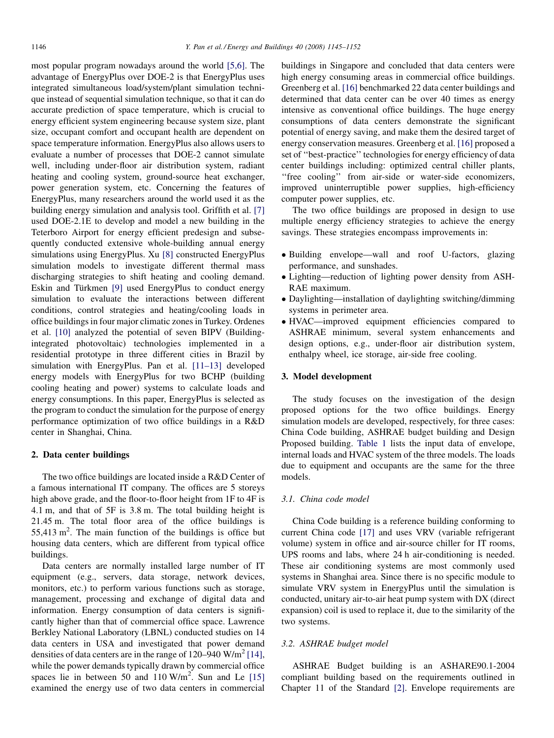most popular program nowadays around the world [\[5,6\]](#page--1-0). The advantage of EnergyPlus over DOE-2 is that EnergyPlus uses integrated simultaneous load/system/plant simulation technique instead of sequential simulation technique, so that it can do accurate prediction of space temperature, which is crucial to energy efficient system engineering because system size, plant size, occupant comfort and occupant health are dependent on space temperature information. EnergyPlus also allows users to evaluate a number of processes that DOE-2 cannot simulate well, including under-floor air distribution system, radiant heating and cooling system, ground-source heat exchanger, power generation system, etc. Concerning the features of EnergyPlus, many researchers around the world used it as the building energy simulation and analysis tool. Griffith et al. [\[7\]](#page--1-0) used DOE-2.1E to develop and model a new building in the Teterboro Airport for energy efficient predesign and subsequently conducted extensive whole-building annual energy simulations using EnergyPlus. Xu [\[8\]](#page--1-0) constructed EnergyPlus simulation models to investigate different thermal mass discharging strategies to shift heating and cooling demand. Eskin and Türkmen [\[9\]](#page--1-0) used EnergyPlus to conduct energy simulation to evaluate the interactions between different conditions, control strategies and heating/cooling loads in office buildings in four major climatic zones in Turkey. Ordenes et al. [\[10\]](#page--1-0) analyzed the potential of seven BIPV (Buildingintegrated photovoltaic) technologies implemented in a residential prototype in three different cities in Brazil by simulation with EnergyPlus. Pan et al. [\[11–13\]](#page--1-0) developed energy models with EnergyPlus for two BCHP (building cooling heating and power) systems to calculate loads and energy consumptions. In this paper, EnergyPlus is selected as the program to conduct the simulation for the purpose of energy performance optimization of two office buildings in a R&D center in Shanghai, China.

### 2. Data center buildings

The two office buildings are located inside a R&D Center of a famous international IT company. The offices are 5 storeys high above grade, and the floor-to-floor height from 1F to 4F is 4.1 m, and that of 5F is 3.8 m. The total building height is 21.45 m. The total floor area of the office buildings is 55,413 m<sup>2</sup>. The main function of the buildings is office but housing data centers, which are different from typical office buildings.

Data centers are normally installed large number of IT equipment (e.g., servers, data storage, network devices, monitors, etc.) to perform various functions such as storage, management, processing and exchange of digital data and information. Energy consumption of data centers is significantly higher than that of commercial office space. Lawrence Berkley National Laboratory (LBNL) conducted studies on 14 data centers in USA and investigated that power demand densities of data centers are in the range of  $120-940$  W/m<sup>2</sup> [\[14\]](#page--1-0), while the power demands typically drawn by commercial office spaces lie in between  $50$  and  $110 \text{ W/m}^2$ . Sun and Le [\[15\]](#page--1-0) examined the energy use of two data centers in commercial

buildings in Singapore and concluded that data centers were high energy consuming areas in commercial office buildings. Greenberg et al. [\[16\]](#page--1-0) benchmarked 22 data center buildings and determined that data center can be over 40 times as energy intensive as conventional office buildings. The huge energy consumptions of data centers demonstrate the significant potential of energy saving, and make them the desired target of energy conservation measures. Greenberg et al. [\[16\]](#page--1-0) proposed a set of ''best-practice'' technologies for energy efficiency of data center buildings including: optimized central chiller plants, "free cooling" from air-side or water-side economizers, improved uninterruptible power supplies, high-efficiency computer power supplies, etc.

The two office buildings are proposed in design to use multiple energy efficiency strategies to achieve the energy savings. These strategies encompass improvements in:

- Building envelope—wall and roof U-factors, glazing performance, and sunshades.
- Lighting—reduction of lighting power density from ASH-RAE maximum.
- Daylighting—installation of daylighting switching/dimming systems in perimeter area.
- HVAC—improved equipment efficiencies compared to ASHRAE minimum, several system enhancements and design options, e.g., under-floor air distribution system, enthalpy wheel, ice storage, air-side free cooling.

#### 3. Model development

The study focuses on the investigation of the design proposed options for the two office buildings. Energy simulation models are developed, respectively, for three cases: China Code building, ASHRAE budget building and Design Proposed building. [Table 1](#page--1-0) lists the input data of envelope, internal loads and HVAC system of the three models. The loads due to equipment and occupants are the same for the three models.

### 3.1. China code model

China Code building is a reference building conforming to current China code [\[17\]](#page--1-0) and uses VRV (variable refrigerant volume) system in office and air-source chiller for IT rooms, UPS rooms and labs, where 24 h air-conditioning is needed. These air conditioning systems are most commonly used systems in Shanghai area. Since there is no specific module to simulate VRV system in EnergyPlus until the simulation is conducted, unitary air-to-air heat pump system with DX (direct expansion) coil is used to replace it, due to the similarity of the two systems.

### 3.2. ASHRAE budget model

ASHRAE Budget building is an ASHARE90.1-2004 compliant building based on the requirements outlined in Chapter 11 of the Standard [\[2\]](#page--1-0). Envelope requirements are